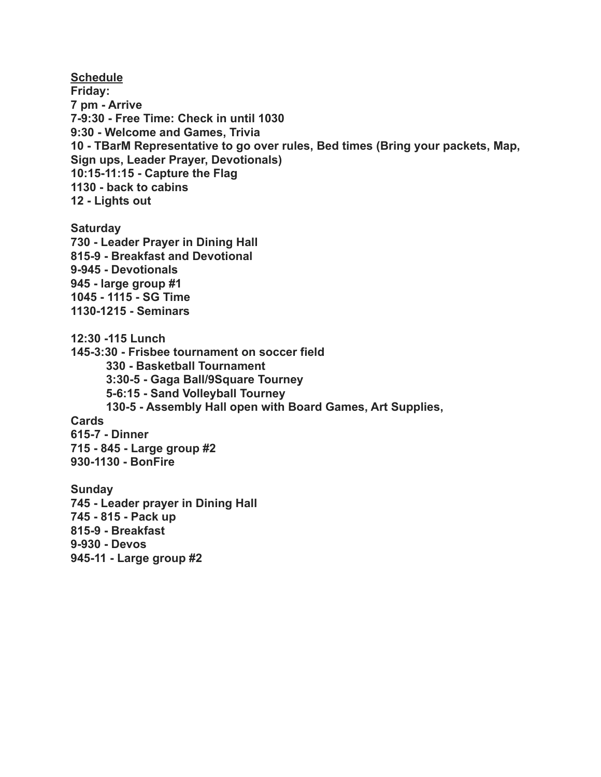**Schedule Friday: 7 pm - Arrive 7-9:30 - Free Time: Check in until 1030 9:30 - Welcome and Games, Trivia 10 - TBarM Representative to go over rules, Bed times (Bring your packets, Map, Sign ups, Leader Prayer, Devotionals) 10:15-11:15 - Capture the Flag 1130 - back to cabins 12 - Lights out Saturday 730 - Leader Prayer in Dining Hall 815-9 - Breakfast and Devotional 9-945 - Devotionals 945 - large group #1 1045 - 1115 - SG Time 1130-1215 - Seminars 12:30 -115 Lunch 145-3:30 - Frisbee tournament on soccer field 330 - Basketball Tournament 3:30-5 - Gaga Ball/9Square Tourney 5-6:15 - Sand Volleyball Tourney 130-5 - Assembly Hall open with Board Games, Art Supplies, Cards 615-7 - Dinner 715 - 845 - Large group #2 930-1130 - BonFire Sunday 745 - Leader prayer in Dining Hall 745 - 815 - Pack up 815-9 - Breakfast 9-930 - Devos 945-11 - Large group #2**